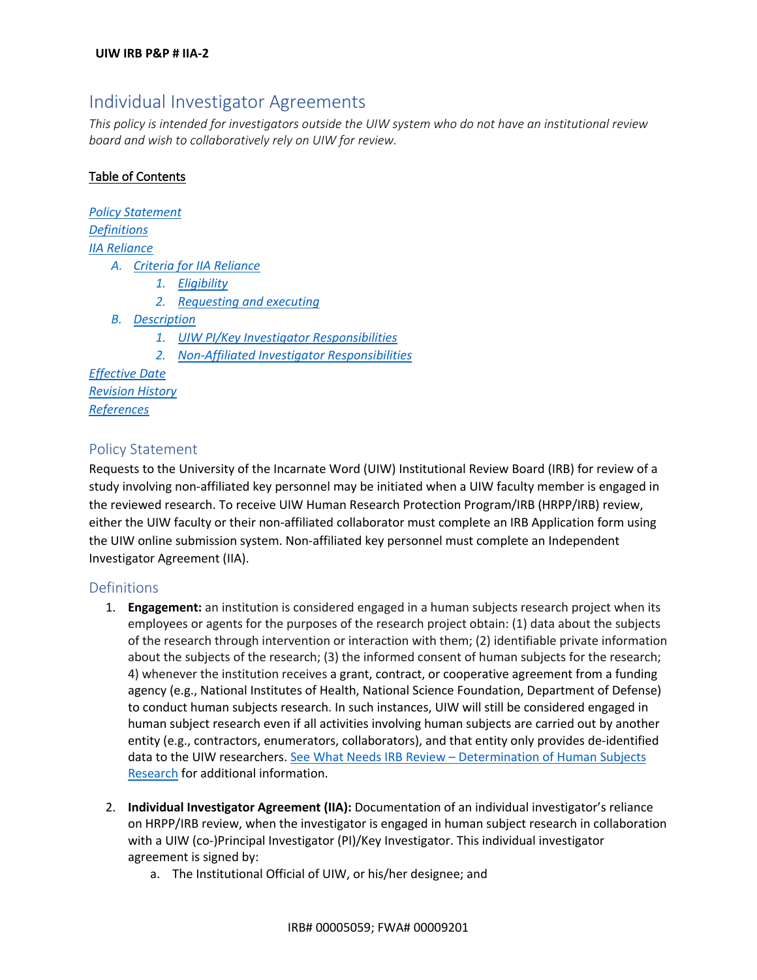# Individual Investigator Agreements

*This policy is intended for investigators outside the UIW system who do not have an institutional review board and wish to collaboratively rely on UIW for review.* 

# Table of Contents

*Policy Statement Definitions IIA Reliance A. Criteria for IIA Reliance 1. Eligibility 2. Requesting and executing B. Description 1. UIW PI/Key Investigator Responsibilities 2. Non-Affiliated Investigator Responsibilities*

*Effective Date Revision History References*

# Policy Statement

Requests to the University of the Incarnate Word (UIW) Institutional Review Board (IRB) for review of a study involving non-affiliated key personnel may be initiated when a UIW faculty member is engaged in the reviewed research. To receive UIW Human Research Protection Program/IRB (HRPP/IRB) review, either the UIW faculty or their non-affiliated collaborator must complete an IRB Application form using the UIW online submission system. Non-affiliated key personnel must complete an Independent Investigator Agreement (IIA).

## Definitions

- 1. **Engagement:** an institution is considered engaged in a human subjects research project when its employees or agents for the purposes of the research project obtain: (1) data about the subjects of the research through intervention or interaction with them; (2) identifiable private information about the subjects of the research; (3) the informed consent of human subjects for the research; 4) whenever the institution receives a grant, contract, or cooperative agreement from a funding agency (e.g., National Institutes of Health, National Science Foundation, Department of Defense) to conduct human subjects research. In such instances, UIW will still be considered engaged in human subject research even if all activities involving human subjects are carried out by another entity (e.g., contractors, enumerators, collaborators), and that entity only provides de-identified data to the UIW researchers. See What Needs IRB Review – Determination of Human Subjects Research for additional information.
- 2. **Individual Investigator Agreement (IIA):** Documentation of an individual investigator's reliance on HRPP/IRB review, when the investigator is engaged in human subject research in collaboration with a UIW (co-)Principal Investigator (PI)/Key Investigator. This individual investigator agreement is signed by:
	- a. The Institutional Official of UIW, or his/her designee; and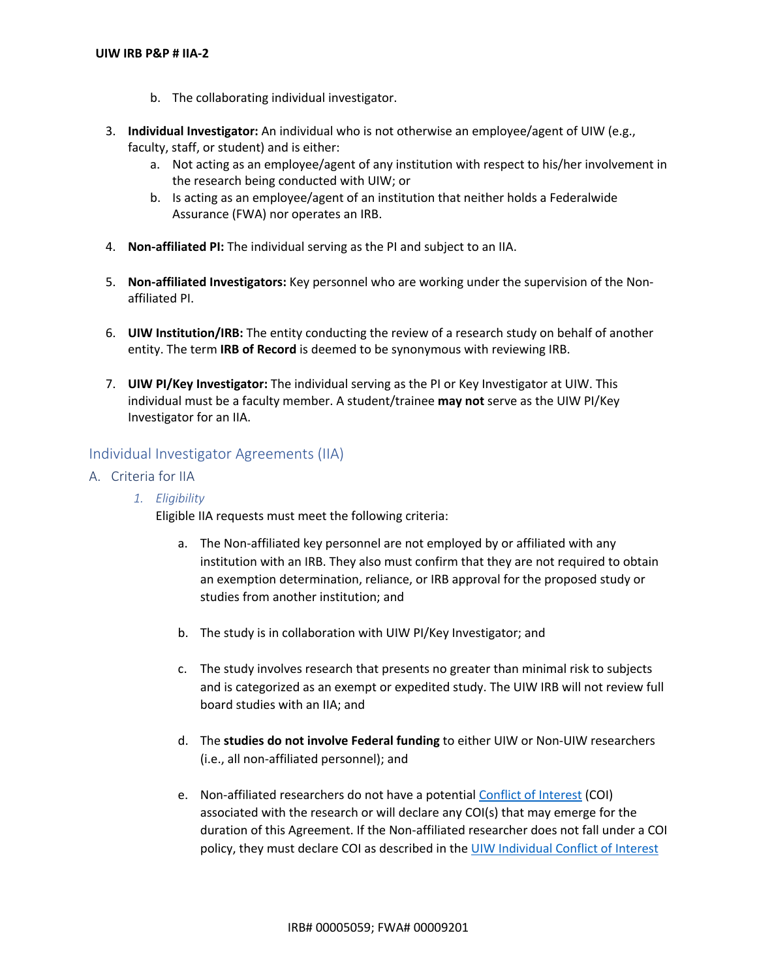- b. The collaborating individual investigator.
- 3. **Individual Investigator:** An individual who is not otherwise an employee/agent of UIW (e.g., faculty, staff, or student) and is either:
	- a. Not acting as an employee/agent of any institution with respect to his/her involvement in the research being conducted with UIW; or
	- b. Is acting as an employee/agent of an institution that neither holds a Federalwide Assurance (FWA) nor operates an IRB.
- 4. **Non-affiliated PI:** The individual serving as the PI and subject to an IIA.
- 5. **Non-affiliated Investigators:** Key personnel who are working under the supervision of the Nonaffiliated PI.
- 6. **UIW Institution/IRB:** The entity conducting the review of a research study on behalf of another entity. The term **IRB of Record** is deemed to be synonymous with reviewing IRB.
- 7. **UIW PI/Key Investigator:** The individual serving as the PI or Key Investigator at UIW. This individual must be a faculty member. A student/trainee **may not** serve as the UIW PI/Key Investigator for an IIA.

## Individual Investigator Agreements (IIA)

- A. Criteria for IIA
	- *1. Eligibility*

Eligible IIA requests must meet the following criteria:

- a. The Non-affiliated key personnel are not employed by or affiliated with any institution with an IRB. They also must confirm that they are not required to obtain an exemption determination, reliance, or IRB approval for the proposed study or studies from another institution; and
- b. The study is in collaboration with UIW PI/Key Investigator; and
- c. The study involves research that presents no greater than minimal risk to subjects and is categorized as an exempt or expedited study. The UIW IRB will not review full board studies with an IIA; and
- d. The **studies do not involve Federal funding** to either UIW or Non-UIW researchers (i.e., all non-affiliated personnel); and
- e. Non-affiliated researchers do not have a potential Conflict of Interest (COI) associated with the research or will declare any COI(s) that may emerge for the duration of this Agreement. If the Non-affiliated researcher does not fall under a COI policy, they must declare COI as described in the UIW Individual Conflict of Interest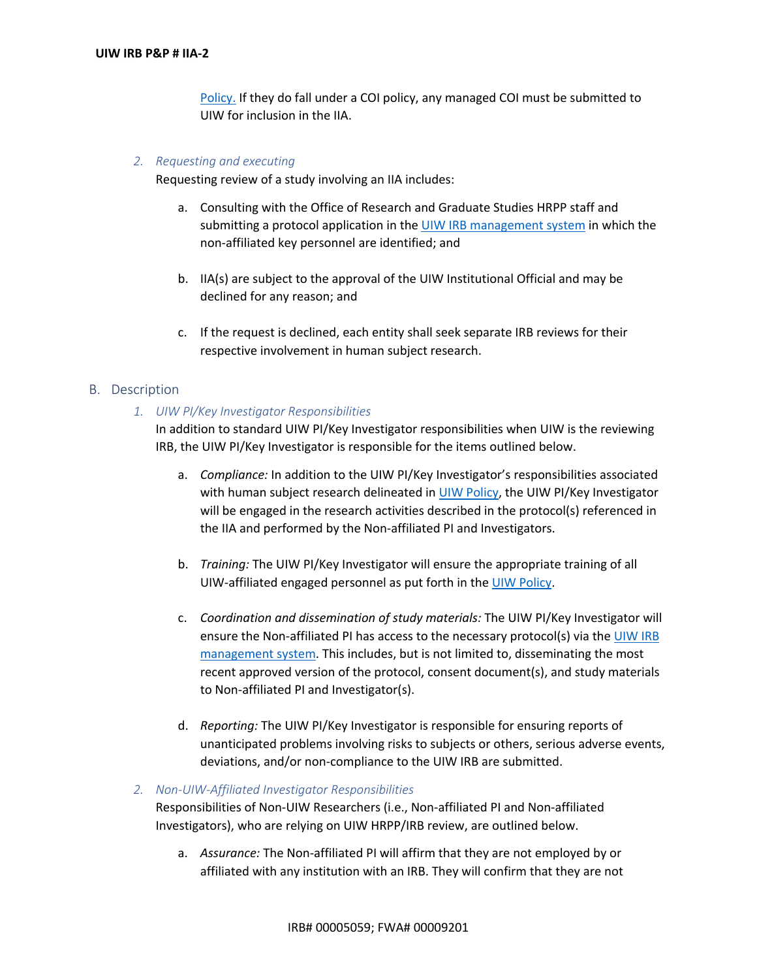Policy. If they do fall under a COI policy, any managed COI must be submitted to UIW for inclusion in the IIA.

#### *2. Requesting and executing*

Requesting review of a study involving an IIA includes:

- a. Consulting with the Office of Research and Graduate Studies HRPP staff and submitting a protocol application in the UIW IRB management system in which the non-affiliated key personnel are identified; and
- b. IIA(s) are subject to the approval of the UIW Institutional Official and may be declined for any reason; and
- c. If the request is declined, each entity shall seek separate IRB reviews for their respective involvement in human subject research.

#### B. Description

#### *1. UIW PI/Key Investigator Responsibilities*

In addition to standard UIW PI/Key Investigator responsibilities when UIW is the reviewing IRB, the UIW PI/Key Investigator is responsible for the items outlined below.

- a. *Compliance:* In addition to the UIW PI/Key Investigator's responsibilities associated with human subject research delineated in UIW Policy, the UIW PI/Key Investigator will be engaged in the research activities described in the protocol(s) referenced in the IIA and performed by the Non-affiliated PI and Investigators.
- b. *Training:* The UIW PI/Key Investigator will ensure the appropriate training of all UIW-affiliated engaged personnel as put forth in the UIW Policy.
- c. *Coordination and dissemination of study materials:* The UIW PI/Key Investigator will ensure the Non-affiliated PI has access to the necessary protocol(s) via the UIW IRB management system. This includes, but is not limited to, disseminating the most recent approved version of the protocol, consent document(s), and study materials to Non-affiliated PI and Investigator(s).
- d. *Reporting:* The UIW PI/Key Investigator is responsible for ensuring reports of unanticipated problems involving risks to subjects or others, serious adverse events, deviations, and/or non-compliance to the UIW IRB are submitted.

#### *2. Non-UIW-Affiliated Investigator Responsibilities*

Responsibilities of Non-UIW Researchers (i.e., Non-affiliated PI and Non-affiliated Investigators), who are relying on UIW HRPP/IRB review, are outlined below.

a. *Assurance:* The Non-affiliated PI will affirm that they are not employed by or affiliated with any institution with an IRB. They will confirm that they are not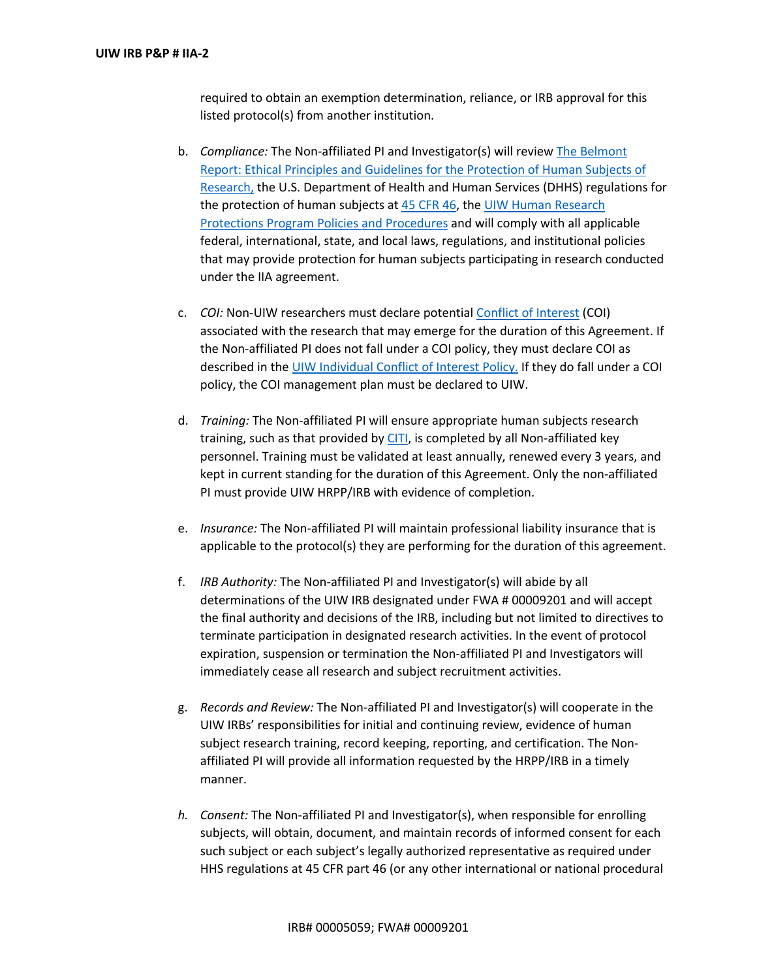required to obtain an exemption determination, reliance, or IRB approval for this listed protocol(s) from another institution.

- b. *Compliance:* The Non-affiliated PI and Investigator(s) will review The Belmont Report: Ethical Principles and Guidelines for the Protection of Human Subjects of Research, the U.S. Department of Health and Human Services (DHHS) regulations for the protection of human subjects at 45 CFR 46, the UIW Human Research Protections Program Policies and Procedures and will comply with all applicable federal, international, state, and local laws, regulations, and institutional policies that may provide protection for human subjects participating in research conducted under the IIA agreement.
- c. *COI:* Non-UIW researchers must declare potential Conflict of Interest (COI) associated with the research that may emerge for the duration of this Agreement. If the Non-affiliated PI does not fall under a COI policy, they must declare COI as described in the UIW Individual Conflict of Interest Policy. If they do fall under a COI policy, the COI management plan must be declared to UIW.
- d. *Training:* The Non-affiliated PI will ensure appropriate human subjects research training, such as that provided by CITI, is completed by all Non-affiliated key personnel. Training must be validated at least annually, renewed every 3 years, and kept in current standing for the duration of this Agreement. Only the non-affiliated PI must provide UIW HRPP/IRB with evidence of completion.
- e. *Insurance:* The Non-affiliated PI will maintain professional liability insurance that is applicable to the protocol(s) they are performing for the duration of this agreement.
- f. *IRB Authority:* The Non-affiliated PI and Investigator(s) will abide by all determinations of the UIW IRB designated under FWA # 00009201 and will accept the final authority and decisions of the IRB, including but not limited to directives to terminate participation in designated research activities. In the event of protocol expiration, suspension or termination the Non-affiliated PI and Investigators will immediately cease all research and subject recruitment activities.
- g. *Records and Review:* The Non-affiliated PI and Investigator(s) will cooperate in the UIW IRBs' responsibilities for initial and continuing review, evidence of human subject research training, record keeping, reporting, and certification. The Nonaffiliated PI will provide all information requested by the HRPP/IRB in a timely manner.
- *h. Consent:* The Non-affiliated PI and Investigator(s), when responsible for enrolling subjects, will obtain, document, and maintain records of informed consent for each such subject or each subject's legally authorized representative as required under HHS regulations at 45 CFR part 46 (or any other international or national procedural